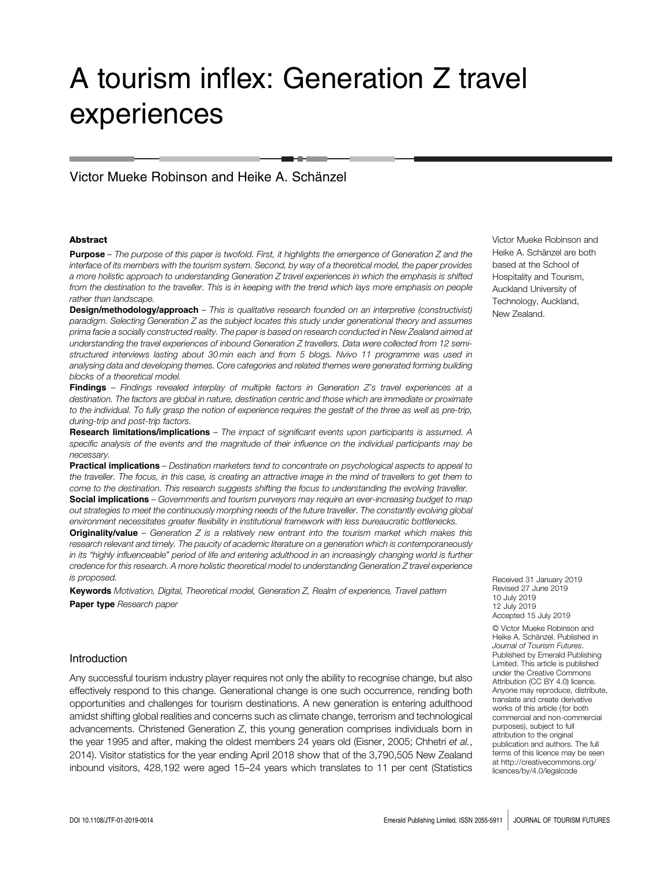# A tourism inflex: Generation Z travel experiences

# Victor Mueke Robinson and Heike A. Schänzel

#### Abstract

Purpose – The purpose of this paper is twofold. First, it highlights the emergence of Generation Z and the interface of its members with the tourism system. Second, by way of a theoretical model, the paper provides a more holistic approach to understanding Generation Z travel experiences in which the emphasis is shifted from the destination to the traveller. This is in keeping with the trend which lays more emphasis on people rather than landscape.

Design/methodology/approach - This is qualitative research founded on an interpretive (constructivist) paradigm. Selecting Generation Z as the subject locates this study under generational theory and assumes prima facie a socially constructed reality. The paper is based on research conducted in New Zealand aimed at understanding the travel experiences of inbound Generation Z travellers. Data were collected from 12 semistructured interviews lasting about 30 min each and from 5 blogs. Nvivo 11 programme was used in analysing data and developing themes. Core categories and related themes were generated forming building blocks of a theoretical model.

**Findings** – Findings revealed interplay of multiple factors in Generation  $Z$ 's travel experiences at a destination. The factors are global in nature, destination centric and those which are immediate or proximate to the individual. To fully grasp the notion of experience requires the gestalt of the three as well as pre-trip, during-trip and post-trip factors.

Research limitations/implications – The impact of significant events upon participants is assumed. A specific analysis of the events and the magnitude of their influence on the individual participants may be necessary.

Practical implications - Destination marketers tend to concentrate on psychological aspects to appeal to the traveller. The focus, in this case, is creating an attractive image in the mind of travellers to get them to come to the destination. This research suggests shifting the focus to understanding the evolving traveller. Social implications - Governments and tourism purveyors may require an ever-increasing budget to map out strategies to meet the continuously morphing needs of the future traveller. The constantly evolving global environment necessitates greater flexibility in institutional framework with less bureaucratic bottlenecks.

**Originality/value** – Generation  $Z$  is a relatively new entrant into the tourism market which makes this research relevant and timely. The paucity of academic literature on a generation which is contemporaneously in its "highly influenceable" period of life and entering adulthood in an increasingly changing world is further credence for this research. A more holistic theoretical model to understanding Generation Z travel experience is proposed.

Keywords Motivation, Digital, Theoretical model, Generation Z, Realm of experience, Travel pattern Paper type Research paper

#### Introduction

Any successful tourism industry player requires not only the ability to recognise change, but also effectively respond to this change. Generational change is one such occurrence, rending both opportunities and challenges for tourism destinations. A new generation is entering adulthood amidst shifting global realities and concerns such as climate change, terrorism and technological advancements. Christened Generation Z, this young generation comprises individuals born in the year 1995 and after, making the oldest members 24 years old (Eisner, 2005; Chhetri et al., 2014). Visitor statistics for the year ending April 2018 show that of the 3,790,505 New Zealand inbound visitors, 428,192 were aged 15–24 years which translates to 11 per cent (Statistics

Victor Mueke Robinson and Heike A. Schänzel are both based at the School of Hospitality and Tourism, Auckland University of Technology, Auckland, New Zealand.

Received 31 January 2019 Revised 27 June 2019 10 July 2019 12 July 2019 Accepted 15 July 2019

© Victor Mueke Robinson and Heike A. Schänzel. Published in Journal of Tourism Futures. Published by Emerald Publishing Limited. This article is published under the Creative Commons Attribution (CC BY 4.0) licence. Anyone may reproduce, distribute, translate and create derivative works of this article ( for both commercial and non-commercial purposes), subject to full attribution to the original publication and authors. The full terms of this licence may be seen at [http://creativecommons.org/](http://creativecommons.org/licences/by/4.0/legalcode) [licences/by/4.0/legalcode](http://creativecommons.org/licences/by/4.0/legalcode)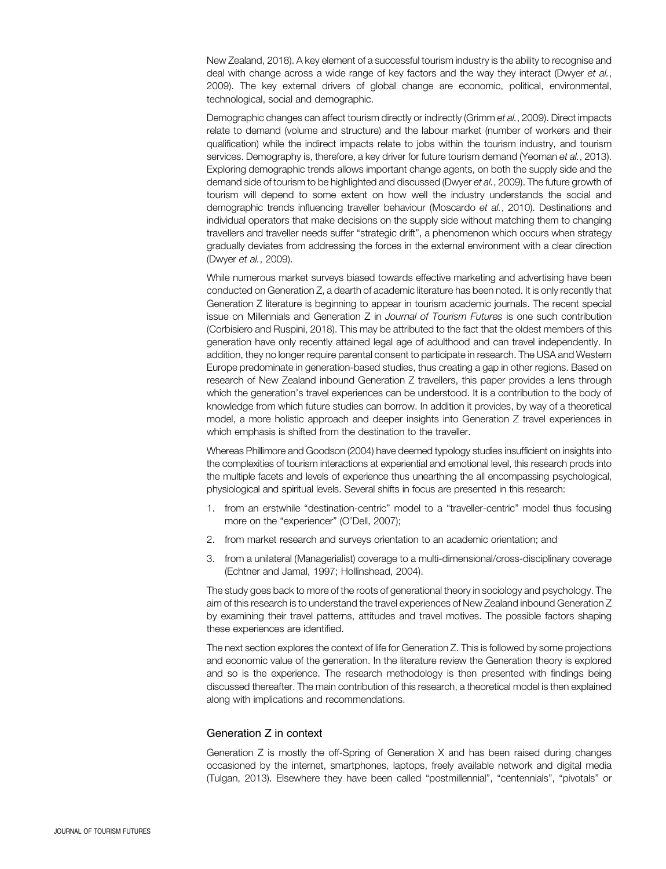New Zealand, 2018). A key element of a successful tourism industry is the ability to recognise and deal with change across a wide range of key factors and the way they interact (Dwyer et al., 2009). The key external drivers of global change are economic, political, environmental, technological, social and demographic.

Demographic changes can affect tourism directly or indirectly (Grimm et al., 2009). Direct impacts relate to demand (volume and structure) and the labour market (number of workers and their qualification) while the indirect impacts relate to jobs within the tourism industry, and tourism services. Demography is, therefore, a key driver for future tourism demand (Yeoman et al., 2013). Exploring demographic trends allows important change agents, on both the supply side and the demand side of tourism to be highlighted and discussed (Dwyer et al., 2009). The future growth of tourism will depend to some extent on how well the industry understands the social and demographic trends influencing traveller behaviour (Moscardo et al., 2010). Destinations and individual operators that make decisions on the supply side without matching them to changing travellers and traveller needs suffer "strategic drift", a phenomenon which occurs when strategy gradually deviates from addressing the forces in the external environment with a clear direction (Dwyer et al., 2009).

While numerous market surveys biased towards effective marketing and advertising have been conducted on Generation Z, a dearth of academic literature has been noted. It is only recently that Generation Z literature is beginning to appear in tourism academic journals. The recent special issue on Millennials and Generation Z in Journal of Tourism Futures is one such contribution (Corbisiero and Ruspini, 2018). This may be attributed to the fact that the oldest members of this generation have only recently attained legal age of adulthood and can travel independently. In addition, they no longer require parental consent to participate in research. The USA and Western Europe predominate in generation-based studies, thus creating a gap in other regions. Based on research of New Zealand inbound Generation Z travellers, this paper provides a lens through which the generation's travel experiences can be understood. It is a contribution to the body of knowledge from which future studies can borrow. In addition it provides, by way of a theoretical model, a more holistic approach and deeper insights into Generation Z travel experiences in which emphasis is shifted from the destination to the traveller.

Whereas Phillimore and Goodson (2004) have deemed typology studies insufficient on insights into the complexities of tourism interactions at experiential and emotional level, this research prods into the multiple facets and levels of experience thus unearthing the all encompassing psychological, physiological and spiritual levels. Several shifts in focus are presented in this research:

- 1. from an erstwhile "destination-centric" model to a "traveller-centric" model thus focusing more on the "experiencer" (O'Dell, 2007);
- 2. from market research and surveys orientation to an academic orientation; and
- 3. from a unilateral (Managerialist) coverage to a multi-dimensional/cross-disciplinary coverage (Echtner and Jamal, 1997; Hollinshead, 2004).

The study goes back to more of the roots of generational theory in sociology and psychology. The aim of this research is to understand the travel experiences of New Zealand inbound Generation Z by examining their travel patterns, attitudes and travel motives. The possible factors shaping these experiences are identified.

The next section explores the context of life for Generation Z. This is followed by some projections and economic value of the generation. In the literature review the Generation theory is explored and so is the experience. The research methodology is then presented with findings being discussed thereafter. The main contribution of this research, a theoretical model is then explained along with implications and recommendations.

# Generation Z in context

Generation Z is mostly the off-Spring of Generation X and has been raised during changes occasioned by the internet, smartphones, laptops, freely available network and digital media (Tulgan, 2013). Elsewhere they have been called "postmillennial", "centennials", "pivotals" or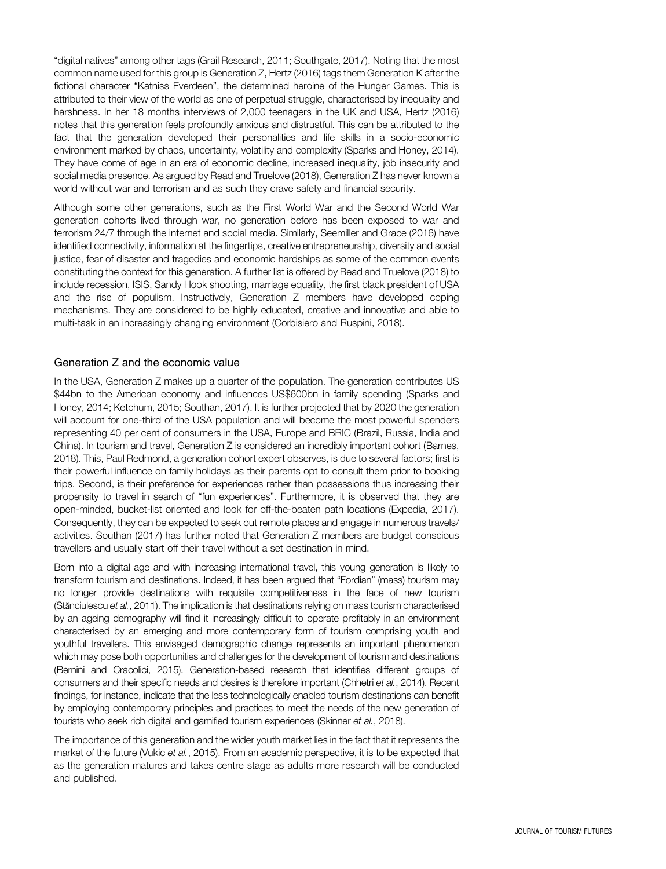"digital natives" among other tags (Grail Research, 2011; Southgate, 2017). Noting that the most common name used for this group is Generation Z, Hertz (2016) tags them Generation K after the fictional character "Katniss Everdeen", the determined heroine of the Hunger Games. This is attributed to their view of the world as one of perpetual struggle, characterised by inequality and harshness. In her 18 months interviews of 2,000 teenagers in the UK and USA, Hertz (2016) notes that this generation feels profoundly anxious and distrustful. This can be attributed to the fact that the generation developed their personalities and life skills in a socio-economic environment marked by chaos, uncertainty, volatility and complexity (Sparks and Honey, 2014). They have come of age in an era of economic decline, increased inequality, job insecurity and social media presence. As argued by Read and Truelove (2018), Generation Z has never known a world without war and terrorism and as such they crave safety and financial security.

Although some other generations, such as the First World War and the Second World War generation cohorts lived through war, no generation before has been exposed to war and terrorism 24/7 through the internet and social media. Similarly, Seemiller and Grace (2016) have identified connectivity, information at the fingertips, creative entrepreneurship, diversity and social justice, fear of disaster and tragedies and economic hardships as some of the common events constituting the context for this generation. A further list is offered by Read and Truelove (2018) to include recession, ISIS, Sandy Hook shooting, marriage equality, the first black president of USA and the rise of populism. Instructively, Generation Z members have developed coping mechanisms. They are considered to be highly educated, creative and innovative and able to multi-task in an increasingly changing environment (Corbisiero and Ruspini, 2018).

# Generation Z and the economic value

In the USA, Generation Z makes up a quarter of the population. The generation contributes US \$44bn to the American economy and influences US\$600bn in family spending (Sparks and Honey, 2014; Ketchum, 2015; Southan, 2017). It is further projected that by 2020 the generation will account for one-third of the USA population and will become the most powerful spenders representing 40 per cent of consumers in the USA, Europe and BRIC (Brazil, Russia, India and China). In tourism and travel, Generation Z is considered an incredibly important cohort (Barnes, 2018). This, Paul Redmond, a generation cohort expert observes, is due to several factors; first is their powerful influence on family holidays as their parents opt to consult them prior to booking trips. Second, is their preference for experiences rather than possessions thus increasing their propensity to travel in search of "fun experiences". Furthermore, it is observed that they are open-minded, bucket-list oriented and look for off-the-beaten path locations (Expedia, 2017). Consequently, they can be expected to seek out remote places and engage in numerous travels/ activities. Southan (2017) has further noted that Generation Z members are budget conscious travellers and usually start off their travel without a set destination in mind.

Born into a digital age and with increasing international travel, this young generation is likely to transform tourism and destinations. Indeed, it has been argued that "Fordian" (mass) tourism may no longer provide destinations with requisite competitiveness in the face of new tourism (Stănciulescu et al., 2011). The implication is that destinations relying on mass tourism characterised by an ageing demography will find it increasingly difficult to operate profitably in an environment characterised by an emerging and more contemporary form of tourism comprising youth and youthful travellers. This envisaged demographic change represents an important phenomenon which may pose both opportunities and challenges for the development of tourism and destinations (Bernini and Cracolici, 2015). Generation-based research that identifies different groups of consumers and their specific needs and desires is therefore important (Chhetri et al., 2014). Recent findings, for instance, indicate that the less technologically enabled tourism destinations can benefit by employing contemporary principles and practices to meet the needs of the new generation of tourists who seek rich digital and gamified tourism experiences (Skinner et al., 2018).

The importance of this generation and the wider youth market lies in the fact that it represents the market of the future (Vukic et al., 2015). From an academic perspective, it is to be expected that as the generation matures and takes centre stage as adults more research will be conducted and published.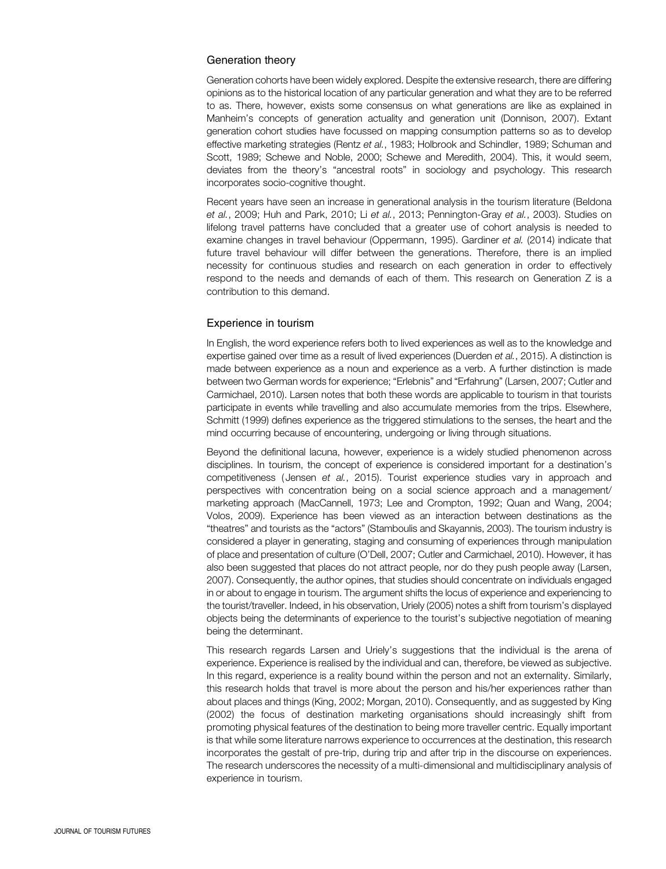# Generation theory

Generation cohorts have been widely explored. Despite the extensive research, there are differing opinions as to the historical location of any particular generation and what they are to be referred to as. There, however, exists some consensus on what generations are like as explained in Manheim's concepts of generation actuality and generation unit (Donnison, 2007). Extant generation cohort studies have focussed on mapping consumption patterns so as to develop effective marketing strategies (Rentz et al., 1983; Holbrook and Schindler, 1989; Schuman and Scott, 1989; Schewe and Noble, 2000; Schewe and Meredith, 2004). This, it would seem, deviates from the theory's "ancestral roots" in sociology and psychology. This research incorporates socio-cognitive thought.

Recent years have seen an increase in generational analysis in the tourism literature (Beldona et al., 2009; Huh and Park, 2010; Li et al., 2013; Pennington-Gray et al., 2003). Studies on lifelong travel patterns have concluded that a greater use of cohort analysis is needed to examine changes in travel behaviour (Oppermann, 1995). Gardiner et al. (2014) indicate that future travel behaviour will differ between the generations. Therefore, there is an implied necessity for continuous studies and research on each generation in order to effectively respond to the needs and demands of each of them. This research on Generation Z is a contribution to this demand.

# Experience in tourism

In English, the word experience refers both to lived experiences as well as to the knowledge and expertise gained over time as a result of lived experiences (Duerden et al., 2015). A distinction is made between experience as a noun and experience as a verb. A further distinction is made between two German words for experience; "Erlebnis" and "Erfahrung" (Larsen, 2007; Cutler and Carmichael, 2010). Larsen notes that both these words are applicable to tourism in that tourists participate in events while travelling and also accumulate memories from the trips. Elsewhere, Schmitt (1999) defines experience as the triggered stimulations to the senses, the heart and the mind occurring because of encountering, undergoing or living through situations.

Beyond the definitional lacuna, however, experience is a widely studied phenomenon across disciplines. In tourism, the concept of experience is considered important for a destination's competitiveness ( Jensen et al., 2015). Tourist experience studies vary in approach and perspectives with concentration being on a social science approach and a management/ marketing approach (MacCannell, 1973; Lee and Crompton, 1992; Quan and Wang, 2004; Volos, 2009). Experience has been viewed as an interaction between destinations as the "theatres" and tourists as the "actors" (Stamboulis and Skayannis, 2003). The tourism industry is considered a player in generating, staging and consuming of experiences through manipulation of place and presentation of culture (O'Dell, 2007; Cutler and Carmichael, 2010). However, it has also been suggested that places do not attract people, nor do they push people away (Larsen, 2007). Consequently, the author opines, that studies should concentrate on individuals engaged in or about to engage in tourism. The argument shifts the locus of experience and experiencing to the tourist/traveller. Indeed, in his observation, Uriely (2005) notes a shift from tourism's displayed objects being the determinants of experience to the tourist's subjective negotiation of meaning being the determinant.

This research regards Larsen and Uriely's suggestions that the individual is the arena of experience. Experience is realised by the individual and can, therefore, be viewed as subjective. In this regard, experience is a reality bound within the person and not an externality. Similarly, this research holds that travel is more about the person and his/her experiences rather than about places and things (King, 2002; Morgan, 2010). Consequently, and as suggested by King (2002) the focus of destination marketing organisations should increasingly shift from promoting physical features of the destination to being more traveller centric. Equally important is that while some literature narrows experience to occurrences at the destination, this research incorporates the gestalt of pre-trip, during trip and after trip in the discourse on experiences. The research underscores the necessity of a multi-dimensional and multidisciplinary analysis of experience in tourism.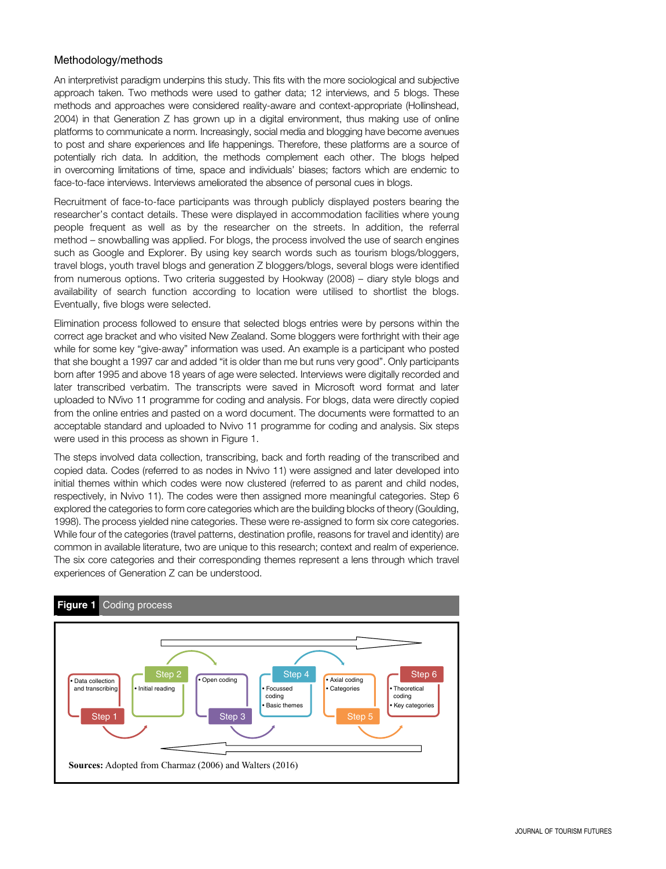# Methodology/methods

An interpretivist paradigm underpins this study. This fits with the more sociological and subjective approach taken. Two methods were used to gather data; 12 interviews, and 5 blogs. These methods and approaches were considered reality-aware and context-appropriate (Hollinshead, 2004) in that Generation Z has grown up in a digital environment, thus making use of online platforms to communicate a norm. Increasingly, social media and blogging have become avenues to post and share experiences and life happenings. Therefore, these platforms are a source of potentially rich data. In addition, the methods complement each other. The blogs helped in overcoming limitations of time, space and individuals' biases; factors which are endemic to face-to-face interviews. Interviews ameliorated the absence of personal cues in blogs.

Recruitment of face-to-face participants was through publicly displayed posters bearing the researcher's contact details. These were displayed in accommodation facilities where young people frequent as well as by the researcher on the streets. In addition, the referral method – snowballing was applied. For blogs, the process involved the use of search engines such as Google and Explorer. By using key search words such as tourism blogs/bloggers, travel blogs, youth travel blogs and generation Z bloggers/blogs, several blogs were identified from numerous options. Two criteria suggested by Hookway (2008) – diary style blogs and availability of search function according to location were utilised to shortlist the blogs. Eventually, five blogs were selected.

Elimination process followed to ensure that selected blogs entries were by persons within the correct age bracket and who visited New Zealand. Some bloggers were forthright with their age while for some key "give-away" information was used. An example is a participant who posted that she bought a 1997 car and added "it is older than me but runs very good". Only participants born after 1995 and above 18 years of age were selected. Interviews were digitally recorded and later transcribed verbatim. The transcripts were saved in Microsoft word format and later uploaded to NVivo 11 programme for coding and analysis. For blogs, data were directly copied from the online entries and pasted on a word document. The documents were formatted to an acceptable standard and uploaded to Nvivo 11 programme for coding and analysis. Six steps were used in this process as shown in Figure 1.

The steps involved data collection, transcribing, back and forth reading of the transcribed and copied data. Codes (referred to as nodes in Nvivo 11) were assigned and later developed into initial themes within which codes were now clustered (referred to as parent and child nodes, respectively, in Nvivo 11). The codes were then assigned more meaningful categories. Step 6 explored the categories to form core categories which are the building blocks of theory (Goulding, 1998). The process yielded nine categories. These were re-assigned to form six core categories. While four of the categories (travel patterns, destination profile, reasons for travel and identity) are common in available literature, two are unique to this research; context and realm of experience. The six core categories and their corresponding themes represent a lens through which travel experiences of Generation Z can be understood.



# Figure 1 Coding process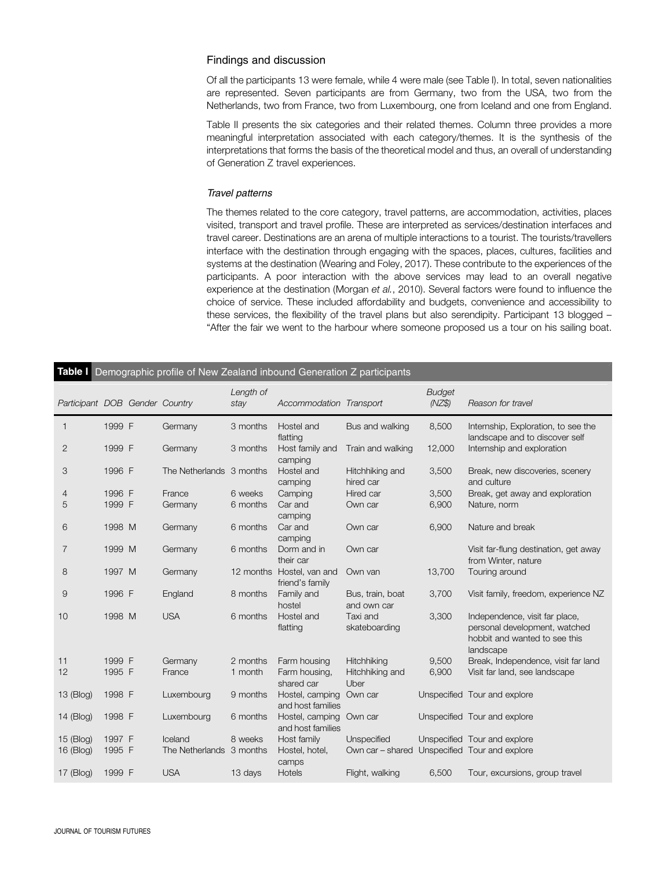#### Findings and discussion

Of all the participants 13 were female, while 4 were male (see Table I). In total, seven nationalities are represented. Seven participants are from Germany, two from the USA, two from the Netherlands, two from France, two from Luxembourg, one from Iceland and one from England.

Table II presents the six categories and their related themes. Column three provides a more meaningful interpretation associated with each category/themes. It is the synthesis of the interpretations that forms the basis of the theoretical model and thus, an overall of understanding of Generation Z travel experiences.

#### Travel patterns

The themes related to the core category, travel patterns, are accommodation, activities, places visited, transport and travel profile. These are interpreted as services/destination interfaces and travel career. Destinations are an arena of multiple interactions to a tourist. The tourists/travellers interface with the destination through engaging with the spaces, places, cultures, facilities and systems at the destination (Wearing and Foley, 2017). These contribute to the experiences of the participants. A poor interaction with the above services may lead to an overall negative experience at the destination (Morgan et al., 2010). Several factors were found to influence the choice of service. These included affordability and budgets, convenience and accessibility to these services, the flexibility of the travel plans but also serendipity. Participant 13 blogged – "After the fair we went to the harbour where someone proposed us a tour on his sailing boat.

|                                |        | Table I Demographic profile of New Zealand inbound Generation Z participants |                   |                                              |                                 |                         |                                                                                                               |
|--------------------------------|--------|------------------------------------------------------------------------------|-------------------|----------------------------------------------|---------------------------------|-------------------------|---------------------------------------------------------------------------------------------------------------|
| Participant DOB Gender Country |        |                                                                              | Length of<br>stay | Accommodation Transport                      |                                 | <b>Budget</b><br>(NZ\$) | Reason for travel                                                                                             |
| 1                              | 1999 F | Germany                                                                      | 3 months          | Hostel and<br>flatting                       | Bus and walking                 | 8,500                   | Internship, Exploration, to see the<br>landscape and to discover self                                         |
| 2                              | 1999 F | Germany                                                                      | 3 months          | Host family and<br>camping                   | Train and walking               | 12,000                  | Internship and exploration                                                                                    |
| 3                              | 1996 F | The Netherlands 3 months                                                     |                   | Hostel and<br>camping                        | Hitchhiking and<br>hired car    | 3,500                   | Break, new discoveries, scenery<br>and culture                                                                |
| 4                              | 1996 F | France                                                                       | 6 weeks           | Camping                                      | Hired car                       | 3,500                   | Break, get away and exploration                                                                               |
| 5                              | 1999 F | Germany                                                                      | 6 months          | Car and<br>camping                           | Own car                         | 6,900                   | Nature, norm                                                                                                  |
| 6                              | 1998 M | Germany                                                                      | 6 months          | Car and<br>camping                           | Own car                         | 6,900                   | Nature and break                                                                                              |
| 7                              | 1999 M | Germany                                                                      | 6 months          | Dorm and in<br>their car                     | Own car                         |                         | Visit far-flung destination, get away<br>from Winter, nature                                                  |
| 8                              | 1997 M | Germany                                                                      |                   | 12 months Hostel, van and<br>friend's family | Own van                         | 13,700                  | Touring around                                                                                                |
| 9                              | 1996 F | England                                                                      | 8 months          | Family and<br>hostel                         | Bus, train, boat<br>and own car | 3,700                   | Visit family, freedom, experience NZ                                                                          |
| 10                             | 1998 M | <b>USA</b>                                                                   | 6 months          | Hostel and<br>flatting                       | Taxi and<br>skateboarding       | 3,300                   | Independence, visit far place,<br>personal development, watched<br>hobbit and wanted to see this<br>landscape |
| 11                             | 1999 F | Germany                                                                      | 2 months          | Farm housing                                 | Hitchhiking                     | 9,500                   | Break, Independence, visit far land                                                                           |
| 12                             | 1995 F | France                                                                       | 1 month           | Farm housing,<br>shared car                  | Hitchhiking and<br>Uber         | 6,900                   | Visit far land, see landscape                                                                                 |
| 13 (Blog)                      | 1998 F | Luxembourg                                                                   | 9 months          | Hostel, camping Own car<br>and host families |                                 |                         | Unspecified Tour and explore                                                                                  |
| 14 (Blog)                      | 1998 F | Luxembourg                                                                   | 6 months          | Hostel, camping<br>and host families         | Own car                         |                         | Unspecified Tour and explore                                                                                  |
| 15 (Blog)                      | 1997 F | Iceland                                                                      | 8 weeks           | Host family                                  | Unspecified                     |                         | Unspecified Tour and explore                                                                                  |
| 16 (Blog)                      | 1995 F | The Netherlands 3 months                                                     |                   | Hostel, hotel,<br>camps                      | Own car - shared                |                         | Unspecified Tour and explore                                                                                  |
| $17$ (Blog)                    | 1999 F | <b>USA</b>                                                                   | 13 days           | <b>Hotels</b>                                | Flight, walking                 | 6,500                   | Tour, excursions, group travel                                                                                |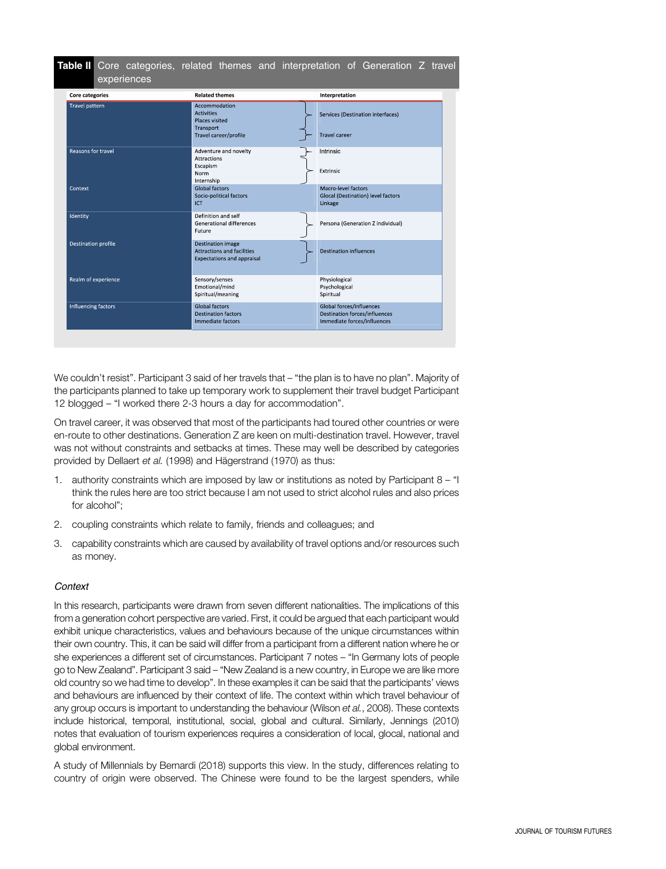| <b>Core categories</b>     | <b>Related themes</b>                                                                       |  | Interpretation                                                                                  |  |  |
|----------------------------|---------------------------------------------------------------------------------------------|--|-------------------------------------------------------------------------------------------------|--|--|
| <b>Travel pattern</b>      | Accommodation<br><b>Activities</b><br>Places visited<br>Transport<br>Travel career/profile  |  | Services (Destination interfaces)<br><b>Travel career</b>                                       |  |  |
| Reasons for travel         | Adventure and novelty<br><b>Attractions</b><br>Escapism<br>Norm<br>Internship               |  | Intrinsic<br>Extrinsic                                                                          |  |  |
| Context                    | Global factors<br>Socio-political factors<br>ICT                                            |  | Macro-level factors<br>Glocal (Destination) level factors<br>Linkage                            |  |  |
| Identity                   | Definition and self<br>Generational differences<br>Future                                   |  | Persona (Generation Z individual)                                                               |  |  |
| <b>Destination profile</b> | <b>Destination image</b><br>Attractions and facilities<br><b>Expectations and appraisal</b> |  | <b>Destination influences</b>                                                                   |  |  |
| Realm of experience        | Sensory/senses<br>Emotional/mind<br>Spiritual/meaning                                       |  | Physiological<br>Psychological<br>Spiritual                                                     |  |  |
| Influencing factors        | <b>Global factors</b><br><b>Destination factors</b><br>Immediate factors                    |  | Global forces/influences<br><b>Destination forces/influences</b><br>Immediate forces/influences |  |  |

We couldn't resist". Participant 3 said of her travels that – "the plan is to have no plan". Majority of the participants planned to take up temporary work to supplement their travel budget Participant 12 blogged – "I worked there 2-3 hours a day for accommodation".

On travel career, it was observed that most of the participants had toured other countries or were en-route to other destinations. Generation Z are keen on multi-destination travel. However, travel was not without constraints and setbacks at times. These may well be described by categories provided by Dellaert et al. (1998) and Hägerstrand (1970) as thus:

- 1. authority constraints which are imposed by law or institutions as noted by Participant 8 "I think the rules here are too strict because I am not used to strict alcohol rules and also prices for alcohol";
- 2. coupling constraints which relate to family, friends and colleagues; and
- 3. capability constraints which are caused by availability of travel options and/or resources such as money.

# **Context**

In this research, participants were drawn from seven different nationalities. The implications of this from a generation cohort perspective are varied. First, it could be argued that each participant would exhibit unique characteristics, values and behaviours because of the unique circumstances within their own country. This, it can be said will differ from a participant from a different nation where he or she experiences a different set of circumstances. Participant 7 notes – "In Germany lots of people go to New Zealand". Participant 3 said – "New Zealand is a new country, in Europe we are like more old country so we had time to develop". In these examples it can be said that the participants' views and behaviours are influenced by their context of life. The context within which travel behaviour of any group occurs is important to understanding the behaviour (Wilson et al., 2008). These contexts include historical, temporal, institutional, social, global and cultural. Similarly, Jennings (2010) notes that evaluation of tourism experiences requires a consideration of local, glocal, national and global environment.

A study of Millennials by Bernardi (2018) supports this view. In the study, differences relating to country of origin were observed. The Chinese were found to be the largest spenders, while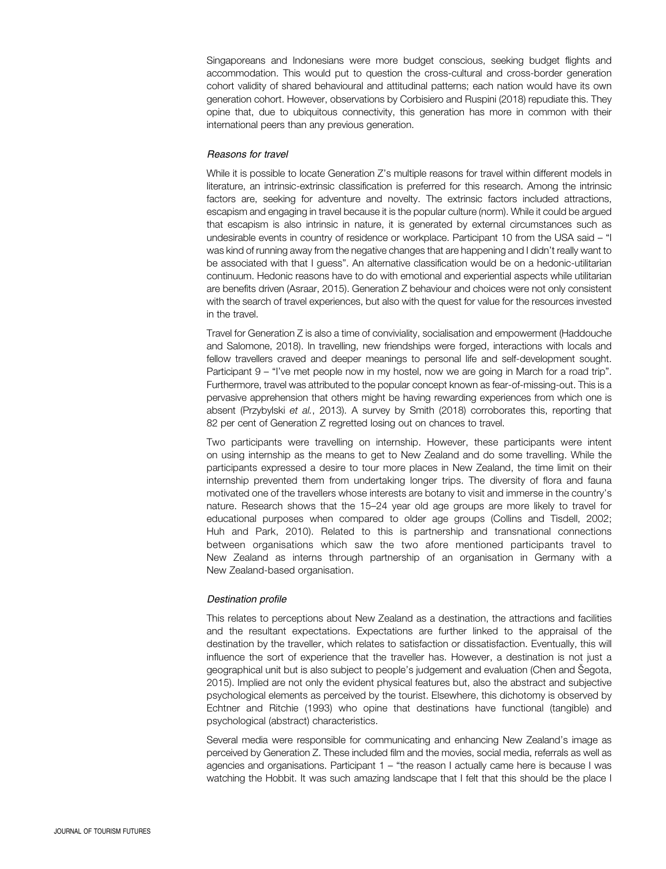Singaporeans and Indonesians were more budget conscious, seeking budget flights and accommodation. This would put to question the cross-cultural and cross-border generation cohort validity of shared behavioural and attitudinal patterns; each nation would have its own generation cohort. However, observations by Corbisiero and Ruspini (2018) repudiate this. They opine that, due to ubiquitous connectivity, this generation has more in common with their international peers than any previous generation.

#### Reasons for travel

While it is possible to locate Generation Z's multiple reasons for travel within different models in literature, an intrinsic-extrinsic classification is preferred for this research. Among the intrinsic factors are, seeking for adventure and novelty. The extrinsic factors included attractions, escapism and engaging in travel because it is the popular culture (norm). While it could be argued that escapism is also intrinsic in nature, it is generated by external circumstances such as undesirable events in country of residence or workplace. Participant 10 from the USA said – "I was kind of running away from the negative changes that are happening and I didn't really want to be associated with that I guess". An alternative classification would be on a hedonic-utilitarian continuum. Hedonic reasons have to do with emotional and experiential aspects while utilitarian are benefits driven (Asraar, 2015). Generation Z behaviour and choices were not only consistent with the search of travel experiences, but also with the quest for value for the resources invested in the travel.

Travel for Generation Z is also a time of conviviality, socialisation and empowerment (Haddouche and Salomone, 2018). In travelling, new friendships were forged, interactions with locals and fellow travellers craved and deeper meanings to personal life and self-development sought. Participant 9 – "I've met people now in my hostel, now we are going in March for a road trip". Furthermore, travel was attributed to the popular concept known as fear-of-missing-out. This is a pervasive apprehension that others might be having rewarding experiences from which one is absent (Przybylski et al., 2013). A survey by Smith (2018) corroborates this, reporting that 82 per cent of Generation Z regretted losing out on chances to travel.

Two participants were travelling on internship. However, these participants were intent on using internship as the means to get to New Zealand and do some travelling. While the participants expressed a desire to tour more places in New Zealand, the time limit on their internship prevented them from undertaking longer trips. The diversity of flora and fauna motivated one of the travellers whose interests are botany to visit and immerse in the country's nature. Research shows that the 15–24 year old age groups are more likely to travel for educational purposes when compared to older age groups (Collins and Tisdell, 2002; Huh and Park, 2010). Related to this is partnership and transnational connections between organisations which saw the two afore mentioned participants travel to New Zealand as interns through partnership of an organisation in Germany with a New Zealand-based organisation.

#### Destination profile

This relates to perceptions about New Zealand as a destination, the attractions and facilities and the resultant expectations. Expectations are further linked to the appraisal of the destination by the traveller, which relates to satisfaction or dissatisfaction. Eventually, this will influence the sort of experience that the traveller has. However, a destination is not just a geographical unit but is also subject to people's judgement and evaluation (Chen and Šegota, 2015). Implied are not only the evident physical features but, also the abstract and subjective psychological elements as perceived by the tourist. Elsewhere, this dichotomy is observed by Echtner and Ritchie (1993) who opine that destinations have functional (tangible) and psychological (abstract) characteristics.

Several media were responsible for communicating and enhancing New Zealand's image as perceived by Generation Z. These included film and the movies, social media, referrals as well as agencies and organisations. Participant 1 – "the reason I actually came here is because I was watching the Hobbit. It was such amazing landscape that I felt that this should be the place I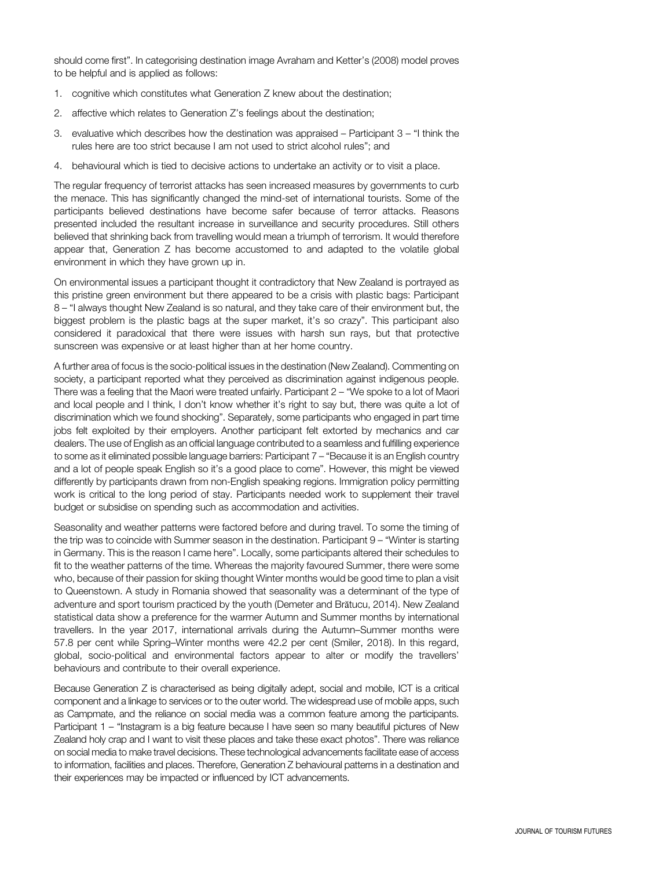should come first". In categorising destination image Avraham and Ketter's (2008) model proves to be helpful and is applied as follows:

- 1. cognitive which constitutes what Generation Z knew about the destination;
- 2. affective which relates to Generation Z's feelings about the destination;
- 3. evaluative which describes how the destination was appraised Participant 3 "I think the rules here are too strict because I am not used to strict alcohol rules"; and
- 4. behavioural which is tied to decisive actions to undertake an activity or to visit a place.

The regular frequency of terrorist attacks has seen increased measures by governments to curb the menace. This has significantly changed the mind-set of international tourists. Some of the participants believed destinations have become safer because of terror attacks. Reasons presented included the resultant increase in surveillance and security procedures. Still others believed that shrinking back from travelling would mean a triumph of terrorism. It would therefore appear that, Generation Z has become accustomed to and adapted to the volatile global environment in which they have grown up in.

On environmental issues a participant thought it contradictory that New Zealand is portrayed as this pristine green environment but there appeared to be a crisis with plastic bags: Participant 8 – "I always thought New Zealand is so natural, and they take care of their environment but, the biggest problem is the plastic bags at the super market, it's so crazy". This participant also considered it paradoxical that there were issues with harsh sun rays, but that protective sunscreen was expensive or at least higher than at her home country.

A further area of focus is the socio-political issues in the destination (New Zealand). Commenting on society, a participant reported what they perceived as discrimination against indigenous people. There was a feeling that the Maori were treated unfairly. Participant 2 – "We spoke to a lot of Maori and local people and I think, I don't know whether it's right to say but, there was quite a lot of discrimination which we found shocking". Separately, some participants who engaged in part time jobs felt exploited by their employers. Another participant felt extorted by mechanics and car dealers. The use of English as an official language contributed to a seamless and fulfilling experience to some as it eliminated possible language barriers: Participant 7 – "Because it is an English country and a lot of people speak English so it's a good place to come". However, this might be viewed differently by participants drawn from non-English speaking regions. Immigration policy permitting work is critical to the long period of stay. Participants needed work to supplement their travel budget or subsidise on spending such as accommodation and activities.

Seasonality and weather patterns were factored before and during travel. To some the timing of the trip was to coincide with Summer season in the destination. Participant 9 – "Winter is starting in Germany. This is the reason I came here". Locally, some participants altered their schedules to fit to the weather patterns of the time. Whereas the majority favoured Summer, there were some who, because of their passion for skiing thought Winter months would be good time to plan a visit to Queenstown. A study in Romania showed that seasonality was a determinant of the type of adventure and sport tourism practiced by the youth (Demeter and Brătucu, 2014). New Zealand statistical data show a preference for the warmer Autumn and Summer months by international travellers. In the year 2017, international arrivals during the Autumn–Summer months were 57.8 per cent while Spring–Winter months were 42.2 per cent (Smiler, 2018). In this regard, global, socio-political and environmental factors appear to alter or modify the travellers' behaviours and contribute to their overall experience.

Because Generation Z is characterised as being digitally adept, social and mobile, ICT is a critical component and a linkage to services or to the outer world. The widespread use of mobile apps, such as Campmate, and the reliance on social media was a common feature among the participants. Participant 1 – "Instagram is a big feature because I have seen so many beautiful pictures of New Zealand holy crap and I want to visit these places and take these exact photos". There was reliance on social media to make travel decisions. These technological advancements facilitate ease of access to information, facilities and places. Therefore, Generation Z behavioural patterns in a destination and their experiences may be impacted or influenced by ICT advancements.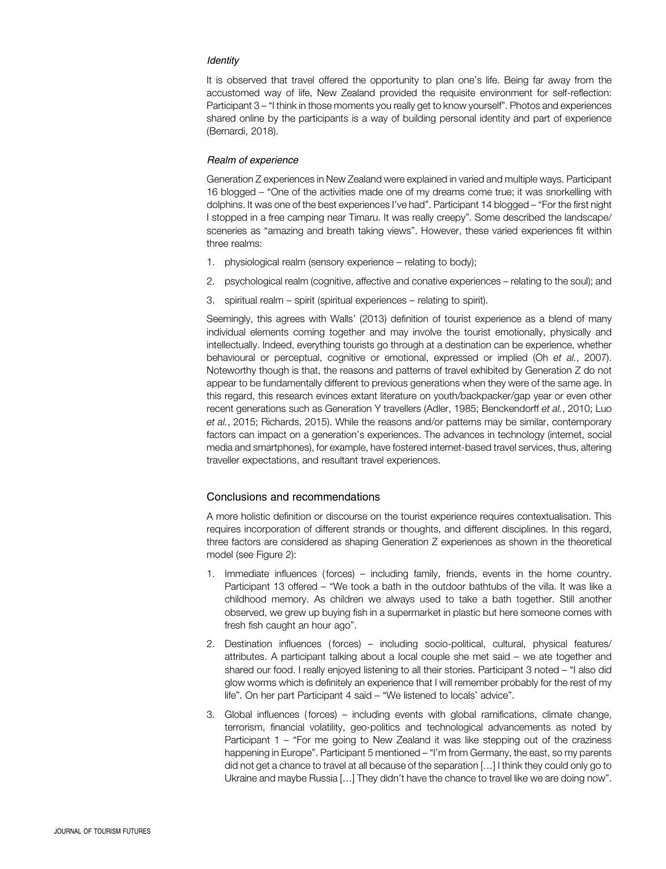#### **Identity**

It is observed that travel offered the opportunity to plan one's life. Being far away from the accustomed way of life, New Zealand provided the requisite environment for self-reflection: Participant 3 – "I think in those moments you really get to know yourself". Photos and experiences shared online by the participants is a way of building personal identity and part of experience (Bernardi, 2018).

#### Realm of experience

Generation Z experiences in New Zealand were explained in varied and multiple ways. Participant 16 blogged – "One of the activities made one of my dreams come true; it was snorkelling with dolphins. It was one of the best experiences I've had". Participant 14 blogged – "For the first night I stopped in a free camping near Timaru. It was really creepy". Some described the landscape/ sceneries as "amazing and breath taking views". However, these varied experiences fit within three realms:

- 1. physiological realm (sensory experience relating to body);
- 2. psychological realm (cognitive, affective and conative experiences relating to the soul); and
- 3. spiritual realm spirit (spiritual experiences relating to spirit).

Seemingly, this agrees with Walls' (2013) definition of tourist experience as a blend of many individual elements coming together and may involve the tourist emotionally, physically and intellectually. Indeed, everything tourists go through at a destination can be experience, whether behavioural or perceptual, cognitive or emotional, expressed or implied (Oh et al., 2007). Noteworthy though is that, the reasons and patterns of travel exhibited by Generation Z do not appear to be fundamentally different to previous generations when they were of the same age. In this regard, this research evinces extant literature on youth/backpacker/gap year or even other recent generations such as Generation Y travellers (Adler, 1985; Benckendorff et al., 2010; Luo et al., 2015; Richards, 2015). While the reasons and/or patterns may be similar, contemporary factors can impact on a generation's experiences. The advances in technology (internet, social media and smartphones), for example, have fostered internet-based travel services, thus, altering traveller expectations, and resultant travel experiences.

#### Conclusions and recommendations

A more holistic definition or discourse on the tourist experience requires contextualisation. This requires incorporation of different strands or thoughts, and different disciplines. In this regard, three factors are considered as shaping Generation Z experiences as shown in the theoretical model (see Figure 2):

- 1. Immediate influences ( forces) including family, friends, events in the home country. Participant 13 offered – "We took a bath in the outdoor bathtubs of the villa. It was like a childhood memory. As children we always used to take a bath together. Still another observed, we grew up buying fish in a supermarket in plastic but here someone comes with fresh fish caught an hour ago".
- 2. Destination influences ( forces) including socio-political, cultural, physical features/ attributes. A participant talking about a local couple she met said – we ate together and shared our food. I really enjoyed listening to all their stories. Participant 3 noted – "I also did glow worms which is definitely an experience that I will remember probably for the rest of my life". On her part Participant 4 said – "We listened to locals' advice".
- 3. Global influences ( forces) including events with global ramifications, climate change, terrorism, financial volatility, geo-politics and technological advancements as noted by Participant 1 – "For me going to New Zealand it was like stepping out of the craziness happening in Europe". Participant 5 mentioned – "I'm from Germany, the east, so my parents did not get a chance to travel at all because of the separation […] I think they could only go to Ukraine and maybe Russia […] They didn't have the chance to travel like we are doing now".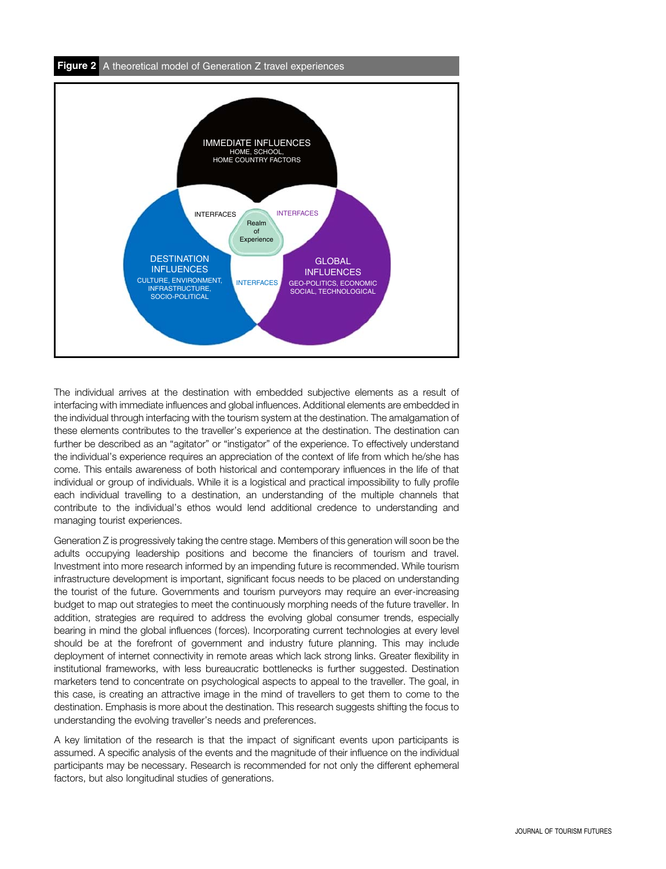

The individual arrives at the destination with embedded subjective elements as a result of interfacing with immediate influences and global influences. Additional elements are embedded in the individual through interfacing with the tourism system at the destination. The amalgamation of these elements contributes to the traveller's experience at the destination. The destination can further be described as an "agitator" or "instigator" of the experience. To effectively understand the individual's experience requires an appreciation of the context of life from which he/she has come. This entails awareness of both historical and contemporary influences in the life of that individual or group of individuals. While it is a logistical and practical impossibility to fully profile each individual travelling to a destination, an understanding of the multiple channels that contribute to the individual's ethos would lend additional credence to understanding and managing tourist experiences.

Generation Z is progressively taking the centre stage. Members of this generation will soon be the adults occupying leadership positions and become the financiers of tourism and travel. Investment into more research informed by an impending future is recommended. While tourism infrastructure development is important, significant focus needs to be placed on understanding the tourist of the future. Governments and tourism purveyors may require an ever-increasing budget to map out strategies to meet the continuously morphing needs of the future traveller. In addition, strategies are required to address the evolving global consumer trends, especially bearing in mind the global influences ( forces). Incorporating current technologies at every level should be at the forefront of government and industry future planning. This may include deployment of internet connectivity in remote areas which lack strong links. Greater flexibility in institutional frameworks, with less bureaucratic bottlenecks is further suggested. Destination marketers tend to concentrate on psychological aspects to appeal to the traveller. The goal, in this case, is creating an attractive image in the mind of travellers to get them to come to the destination. Emphasis is more about the destination. This research suggests shifting the focus to understanding the evolving traveller's needs and preferences.

A key limitation of the research is that the impact of significant events upon participants is assumed. A specific analysis of the events and the magnitude of their influence on the individual participants may be necessary. Research is recommended for not only the different ephemeral factors, but also longitudinal studies of generations.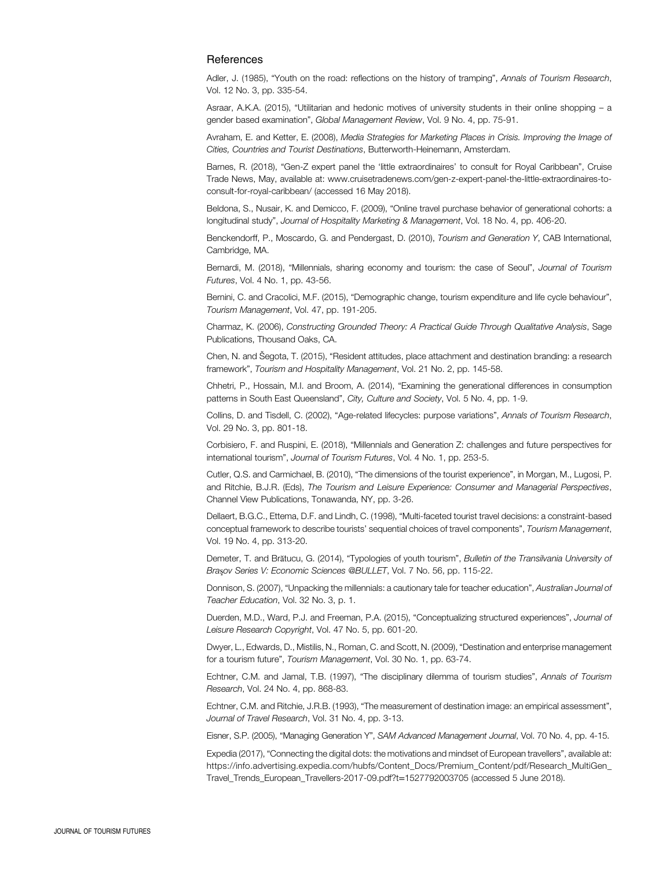#### **References**

Adler, J. (1985), "Youth on the road: reflections on the history of tramping", Annals of Tourism Research, Vol. 12 No. 3, pp. 335-54.

Asraar, A.K.A. (2015), "Utilitarian and hedonic motives of university students in their online shopping – a gender based examination", Global Management Review, Vol. 9 No. 4, pp. 75-91.

Avraham, E. and Ketter, E. (2008), Media Strategies for Marketing Places in Crisis. Improving the Image of Cities, Countries and Tourist Destinations, Butterworth-Heinemann, Amsterdam.

Barnes, R. (2018), "Gen-Z expert panel the 'little extraordinaires' to consult for Royal Caribbean", Cruise Trade News, May, available at: [www.cruisetradenews.com/gen-z-expert-panel-the-little-extraordinaires-to](www.cruisetradenews.com/gen-z-expert-panel-the-little-extraordinaires-to-consult-for-royal-caribbean/)[consult-for-royal-caribbean/](www.cruisetradenews.com/gen-z-expert-panel-the-little-extraordinaires-to-consult-for-royal-caribbean/) (accessed 16 May 2018).

Beldona, S., Nusair, K. and Demicco, F. (2009), "Online travel purchase behavior of generational cohorts: a longitudinal study", Journal of Hospitality Marketing & Management, Vol. 18 No. 4, pp. 406-20.

Benckendorff, P., Moscardo, G. and Pendergast, D. (2010), Tourism and Generation Y, CAB International, Cambridge, MA.

Bernardi, M. (2018), "Millennials, sharing economy and tourism: the case of Seoul", Journal of Tourism Futures, Vol. 4 No. 1, pp. 43-56.

Bernini, C. and Cracolici, M.F. (2015), "Demographic change, tourism expenditure and life cycle behaviour", Tourism Management, Vol. 47, pp. 191-205.

Charmaz, K. (2006), Constructing Grounded Theory: A Practical Guide Through Qualitative Analysis, Sage Publications, Thousand Oaks, CA.

Chen, N. and Šegota, T. (2015), "Resident attitudes, place attachment and destination branding: a research framework", Tourism and Hospitality Management, Vol. 21 No. 2, pp. 145-58.

Chhetri, P., Hossain, M.I. and Broom, A. (2014), "Examining the generational differences in consumption patterns in South East Queensland", City, Culture and Society, Vol. 5 No. 4, pp. 1-9.

Collins, D. and Tisdell, C. (2002), "Age-related lifecycles: purpose variations", Annals of Tourism Research, Vol. 29 No. 3, pp. 801-18.

Corbisiero, F. and Ruspini, E. (2018), "Millennials and Generation Z: challenges and future perspectives for international tourism", Journal of Tourism Futures, Vol. 4 No. 1, pp. 253-5.

Cutler, Q.S. and Carmichael, B. (2010), "The dimensions of the tourist experience", in Morgan, M., Lugosi, P. and Ritchie, B.J.R. (Eds), The Tourism and Leisure Experience: Consumer and Managerial Perspectives, Channel View Publications, Tonawanda, NY, pp. 3-26.

Dellaert, B.G.C., Ettema, D.F. and Lindh, C. (1998), "Multi-faceted tourist travel decisions: a constraint-based conceptual framework to describe tourists' sequential choices of travel components", Tourism Management, Vol. 19 No. 4, pp. 313-20.

Demeter, T. and Brătucu, G. (2014), "Typologies of youth tourism", Bulletin of the Transilvania University of Braşov Series V: Economic Sciences @BULLET, Vol. 7 No. 56, pp. 115-22.

Donnison, S. (2007), "Unpacking the millennials: a cautionary tale for teacher education", Australian Journal of Teacher Education, Vol. 32 No. 3, p. 1.

Duerden, M.D., Ward, P.J. and Freeman, P.A. (2015), "Conceptualizing structured experiences", Journal of Leisure Research Copyright, Vol. 47 No. 5, pp. 601-20.

Dwyer, L., Edwards, D., Mistilis, N., Roman, C. and Scott, N. (2009), "Destination and enterprise management for a tourism future", Tourism Management, Vol. 30 No. 1, pp. 63-74.

Echtner, C.M. and Jamal, T.B. (1997), "The disciplinary dilemma of tourism studies", Annals of Tourism Research, Vol. 24 No. 4, pp. 868-83.

Echtner, C.M. and Ritchie, J.R.B. (1993), "The measurement of destination image: an empirical assessment", Journal of Travel Research, Vol. 31 No. 4, pp. 3-13.

Eisner, S.P. (2005), "Managing Generation Y", SAM Advanced Management Journal, Vol. 70 No. 4, pp. 4-15.

Expedia (2017), "Connecting the digital dots: the motivations and mindset of European travellers", available at: [https://info.advertising.expedia.com/hubfs/Content\\_Docs/Premium\\_Content/pdf/Research\\_MultiGen\\_](https://info.advertising.expedia.com/hubfs/Content_Docs/Premium_Content/pdf/Research_MultiGen_Travel_Trends_European_Travellers-2017-09.pdf?t=1527792003705) [Travel\\_Trends\\_European\\_Travellers-2017-09.pdf?t](https://info.advertising.expedia.com/hubfs/Content_Docs/Premium_Content/pdf/Research_MultiGen_Travel_Trends_European_Travellers-2017-09.pdf?t=1527792003705)=1527792003705 (accessed 5 June 2018).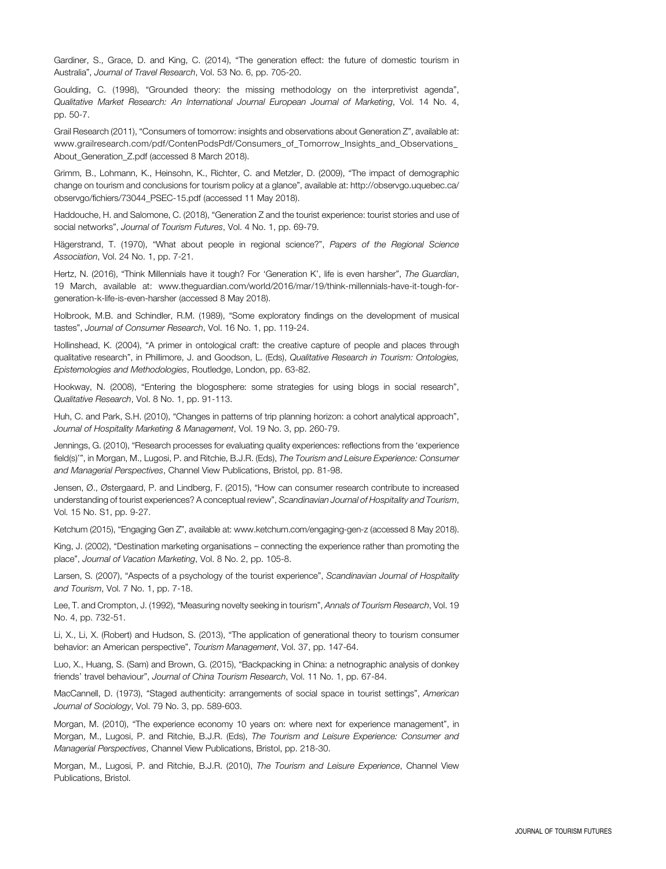Gardiner, S., Grace, D. and King, C. (2014), "The generation effect: the future of domestic tourism in Australia", Journal of Travel Research, Vol. 53 No. 6, pp. 705-20.

Goulding, C. (1998), "Grounded theory: the missing methodology on the interpretivist agenda", Qualitative Market Research: An International Journal European Journal of Marketing, Vol. 14 No. 4, pp. 50-7.

Grail Research (2011), "Consumers of tomorrow: insights and observations about Generation Z", available at: www.grailresearch.com/pdf/ContenPodsPdf/Consumers\_of\_Tomorrow\_Insights\_and\_Observations [About\\_Generation\\_Z.pdf](www.grailresearch.com/pdf/ContenPodsPdf/Consumers_of_Tomorrow_Insights_and_Observations_About_Generation_Z.pdf) (accessed 8 March 2018).

Grimm, B., Lohmann, K., Heinsohn, K., Richter, C. and Metzler, D. (2009), "The impact of demographic change on tourism and conclusions for tourism policy at a glance", available at: [http://observgo.uquebec.ca/](http://observgo.uquebec.ca/observgo/fichiers/73044_PSEC-15.pdf) [observgo/fichiers/73044\\_PSEC-15.pdf](http://observgo.uquebec.ca/observgo/fichiers/73044_PSEC-15.pdf) (accessed 11 May 2018).

Haddouche, H. and Salomone, C. (2018), "Generation Z and the tourist experience: tourist stories and use of social networks", Journal of Tourism Futures, Vol. 4 No. 1, pp. 69-79.

Hägerstrand, T. (1970), "What about people in regional science?", Papers of the Regional Science Association, Vol. 24 No. 1, pp. 7-21.

Hertz, N. (2016), "Think Millennials have it tough? For 'Generation K', life is even harsher", The Guardian, 19 March, available at: [www.theguardian.com/world/2016/mar/19/think-millennials-have-it-tough-for](www.theguardian.com/world/2016/mar/19/think-millennials-have-it-tough-for-generation-k-life-is-even-harsher)[generation-k-life-is-even-harsher](www.theguardian.com/world/2016/mar/19/think-millennials-have-it-tough-for-generation-k-life-is-even-harsher) (accessed 8 May 2018).

Holbrook, M.B. and Schindler, R.M. (1989), "Some exploratory findings on the development of musical tastes", Journal of Consumer Research, Vol. 16 No. 1, pp. 119-24.

Hollinshead, K. (2004), "A primer in ontological craft: the creative capture of people and places through qualitative research", in Phillimore, J. and Goodson, L. (Eds), Qualitative Research in Tourism: Ontologies, Epistemologies and Methodologies, Routledge, London, pp. 63-82.

Hookway, N. (2008), "Entering the blogosphere: some strategies for using blogs in social research", Qualitative Research, Vol. 8 No. 1, pp. 91-113.

Huh, C. and Park, S.H. (2010), "Changes in patterns of trip planning horizon: a cohort analytical approach", Journal of Hospitality Marketing & Management, Vol. 19 No. 3, pp. 260-79.

Jennings, G. (2010), "Research processes for evaluating quality experiences: reflections from the 'experience field(s)", in Morgan, M., Lugosi, P. and Ritchie, B.J.R. (Eds), The Tourism and Leisure Experience: Consumer and Managerial Perspectives, Channel View Publications, Bristol, pp. 81-98.

Jensen, Ø., Østergaard, P. and Lindberg, F. (2015), "How can consumer research contribute to increased understanding of tourist experiences? A conceptual review", Scandinavian Journal of Hospitality and Tourism, Vol. 15 No. S1, pp. 9-27.

Ketchum (2015), "Engaging Gen Z", available at:<www.ketchum.com/engaging-gen-z> (accessed 8 May 2018).

King, J. (2002), "Destination marketing organisations – connecting the experience rather than promoting the place", Journal of Vacation Marketing, Vol. 8 No. 2, pp. 105-8.

Larsen, S. (2007), "Aspects of a psychology of the tourist experience", Scandinavian Journal of Hospitality and Tourism, Vol. 7 No. 1, pp. 7-18.

Lee, T. and Crompton, J. (1992), "Measuring novelty seeking in tourism", Annals of Tourism Research, Vol. 19 No. 4, pp. 732-51.

Li, X., Li, X. (Robert) and Hudson, S. (2013), "The application of generational theory to tourism consumer behavior: an American perspective", Tourism Management, Vol. 37, pp. 147-64.

Luo, X., Huang, S. (Sam) and Brown, G. (2015), "Backpacking in China: a netnographic analysis of donkey friends' travel behaviour", Journal of China Tourism Research, Vol. 11 No. 1, pp. 67-84.

MacCannell, D. (1973), "Staged authenticity: arrangements of social space in tourist settings", American Journal of Sociology, Vol. 79 No. 3, pp. 589-603.

Morgan, M. (2010), "The experience economy 10 years on: where next for experience management", in Morgan, M., Lugosi, P. and Ritchie, B.J.R. (Eds), The Tourism and Leisure Experience: Consumer and Managerial Perspectives, Channel View Publications, Bristol, pp. 218-30.

Morgan, M., Lugosi, P. and Ritchie, B.J.R. (2010), The Tourism and Leisure Experience, Channel View Publications, Bristol.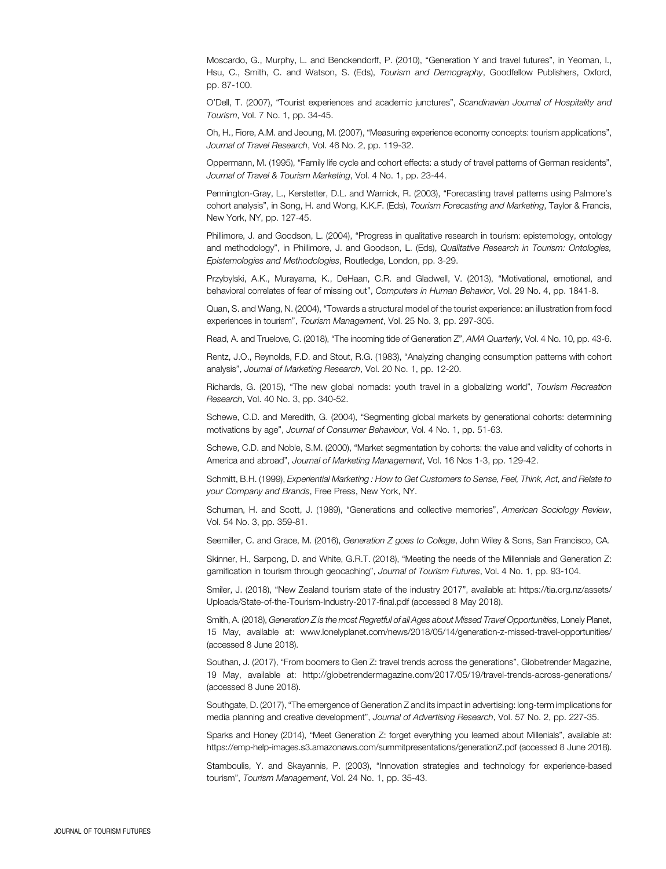Moscardo, G., Murphy, L. and Benckendorff, P. (2010), "Generation Y and travel futures", in Yeoman, I., Hsu, C., Smith, C. and Watson, S. (Eds), Tourism and Demography, Goodfellow Publishers, Oxford, pp. 87-100.

O'Dell, T. (2007), "Tourist experiences and academic junctures", Scandinavian Journal of Hospitality and Tourism, Vol. 7 No. 1, pp. 34-45.

Oh, H., Fiore, A.M. and Jeoung, M. (2007), "Measuring experience economy concepts: tourism applications", Journal of Travel Research, Vol. 46 No. 2, pp. 119-32.

Oppermann, M. (1995), "Family life cycle and cohort effects: a study of travel patterns of German residents", Journal of Travel & Tourism Marketing, Vol. 4 No. 1, pp. 23-44.

Pennington-Gray, L., Kerstetter, D.L. and Warnick, R. (2003), "Forecasting travel patterns using Palmore's cohort analysis", in Song, H. and Wong, K.K.F. (Eds), Tourism Forecasting and Marketing, Taylor & Francis, New York, NY, pp. 127-45.

Phillimore, J. and Goodson, L. (2004), "Progress in qualitative research in tourism: epistemology, ontology and methodology", in Phillimore, J. and Goodson, L. (Eds), Qualitative Research in Tourism: Ontologies, Epistemologies and Methodologies, Routledge, London, pp. 3-29.

Przybylski, A.K., Murayama, K., DeHaan, C.R. and Gladwell, V. (2013), "Motivational, emotional, and behavioral correlates of fear of missing out", Computers in Human Behavior, Vol. 29 No. 4, pp. 1841-8.

Quan, S. and Wang, N. (2004), "Towards a structural model of the tourist experience: an illustration from food experiences in tourism", Tourism Management, Vol. 25 No. 3, pp. 297-305.

Read, A. and Truelove, C. (2018), "The incoming tide of Generation Z", AMA Quarterly, Vol. 4 No. 10, pp. 43-6.

Rentz, J.O., Reynolds, F.D. and Stout, R.G. (1983), "Analyzing changing consumption patterns with cohort analysis", Journal of Marketing Research, Vol. 20 No. 1, pp. 12-20.

Richards, G. (2015), "The new global nomads: youth travel in a globalizing world", Tourism Recreation Research, Vol. 40 No. 3, pp. 340-52.

Schewe, C.D. and Meredith, G. (2004), "Segmenting global markets by generational cohorts: determining motivations by age", Journal of Consumer Behaviour, Vol. 4 No. 1, pp. 51-63.

Schewe, C.D. and Noble, S.M. (2000), "Market segmentation by cohorts: the value and validity of cohorts in America and abroad", Journal of Marketing Management, Vol. 16 Nos 1-3, pp. 129-42.

Schmitt, B.H. (1999), Experiential Marketing : How to Get Customers to Sense, Feel, Think, Act, and Relate to your Company and Brands, Free Press, New York, NY.

Schuman, H. and Scott, J. (1989), "Generations and collective memories", American Sociology Review, Vol. 54 No. 3, pp. 359-81.

Seemiller, C. and Grace, M. (2016), Generation Z goes to College, John Wiley & Sons, San Francisco, CA.

Skinner, H., Sarpong, D. and White, G.R.T. (2018), "Meeting the needs of the Millennials and Generation Z: gamification in tourism through geocaching", Journal of Tourism Futures, Vol. 4 No. 1, pp. 93-104.

Smiler, J. (2018), "New Zealand tourism state of the industry 2017", available at: [https://tia.org.nz/assets/](https://tia.org.nz/assets/Uploads/State-of-the-Tourism-Industry-2017-final.pdf) [Uploads/State-of-the-Tourism-Industry-2017-final.pdf](https://tia.org.nz/assets/Uploads/State-of-the-Tourism-Industry-2017-final.pdf) (accessed 8 May 2018).

Smith, A. (2018), Generation Z is the most Regretful of all Ages about Missed Travel Opportunities, Lonely Planet, 15 May, available at:<www.lonelyplanet.com/news/2018/05/14/generation-z-missed-travel-opportunities/> (accessed 8 June 2018).

Southan, J. (2017), "From boomers to Gen Z: travel trends across the generations", Globetrender Magazine, 19 May, available at:<http://globetrendermagazine.com/2017/05/19/travel-trends-across-generations/> (accessed 8 June 2018).

Southgate, D. (2017), "The emergence of Generation Z and its impact in advertising: long-term implications for media planning and creative development", Journal of Advertising Research, Vol. 57 No. 2, pp. 227-35.

Sparks and Honey (2014), "Meet Generation Z: forget everything you learned about Millenials", available at: <https://emp-help-images.s3.amazonaws.com/summitpresentations/generationZ.pdf> (accessed 8 June 2018).

Stamboulis, Y. and Skayannis, P. (2003), "Innovation strategies and technology for experience-based tourism", Tourism Management, Vol. 24 No. 1, pp. 35-43.